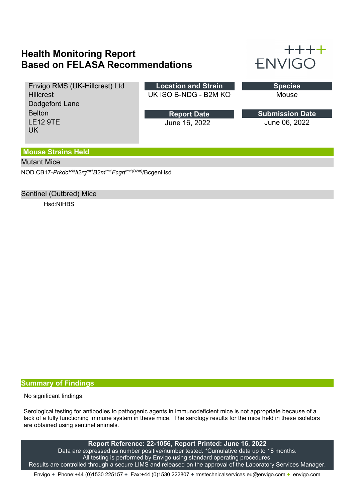# **Health Monitoring Report Based on FELASA Recommendations**



Envigo RMS (UK-Hillcrest) Ltd **Hillcrest** Dodgeford Lane Belton LE12 9TE UK

**Location and Strain** UK ISO B-NDG - B2M KO

> June 16, 2022 **Report Date**

Mouse

June 06, 2022 **Submission Date**

### **Mouse Strains Held**

### Mutant Mice

NOD.CB17-*PrkdcscidIl2rgtm1B2mtm1Fcgrttm1(B2m)*/BcgenHsd

### Sentinel (Outbred) Mice

Hsd:NIHBS

#### **Summary of Findings**

No significant findings.

Serological testing for antibodies to pathogenic agents in immunodeficient mice is not appropriate because of a lack of a fully functioning immune system in these mice. The serology results for the mice held in these isolators are obtained using sentinel animals.

**Report Reference: 22-1056, Report Printed: June 16, 2022** Data are expressed as number positive/number tested. \*Cumulative data up to 18 months. All testing is performed by Envigo using standard operating procedures. Results are controlled through a secure LIMS and released on the approval of the Laboratory Services Manager.

Envigo **+** Phone:+44 (0)1530 225157 **+** Fax:+44 (0)1530 222807 **+** rmstechnicalservices.eu@envigo.com **+** envigo.com